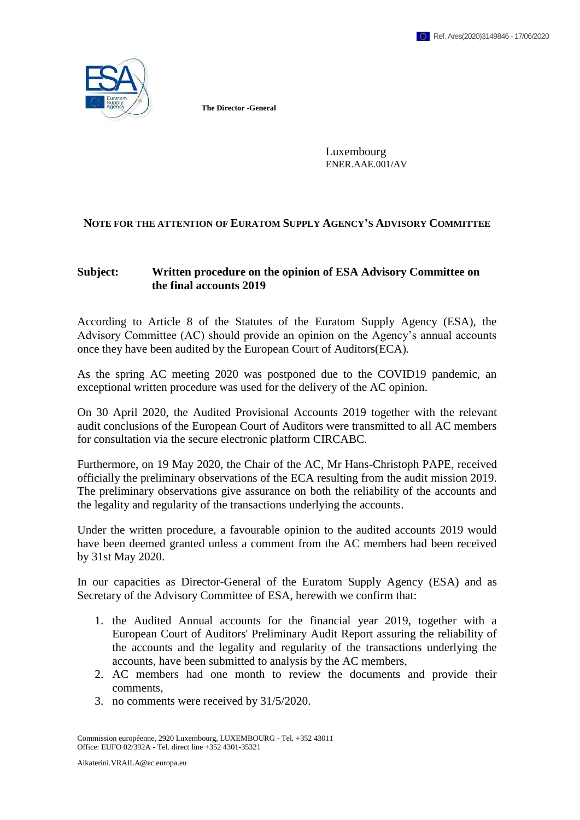

**The Director -General**

Luxembourg ENER.AAE.001/AV

## **NOTE FOR THE ATTENTION OF EURATOM SUPPLY AGENCY'S ADVISORY COMMITTEE**

## **Subject: Written procedure on the opinion of ESA Advisory Committee on the final accounts 2019**

According to Article 8 of the Statutes of the Euratom Supply Agency (ESA), the Advisory Committee (AC) should provide an opinion on the Agency's annual accounts once they have been audited by the European Court of Auditors(ECA).

As the spring AC meeting 2020 was postponed due to the COVID19 pandemic, an exceptional written procedure was used for the delivery of the AC opinion.

On 30 April 2020, the Audited Provisional Accounts 2019 together with the relevant audit conclusions of the European Court of Auditors were transmitted to all AC members for consultation via the secure electronic platform CIRCABC.

Furthermore, on 19 May 2020, the Chair of the AC, Mr Hans-Christoph PAPE, received officially the preliminary observations of the ECA resulting from the audit mission 2019. The preliminary observations give assurance on both the reliability of the accounts and the legality and regularity of the transactions underlying the accounts.

Under the written procedure, a favourable opinion to the audited accounts 2019 would have been deemed granted unless a comment from the AC members had been received by 31st May 2020.

In our capacities as Director-General of the Euratom Supply Agency (ESA) and as Secretary of the Advisory Committee of ESA, herewith we confirm that:

- 1. the Audited Annual accounts for the financial year 2019, together with a European Court of Auditors' Preliminary Audit Report assuring the reliability of the accounts and the legality and regularity of the transactions underlying the accounts, have been submitted to analysis by the AC members,
- 2. AC members had one month to review the documents and provide their comments,
- 3. no comments were received by 31/5/2020.

Commission européenne, 2920 Luxembourg, LUXEMBOURG - Tel. +352 43011 Office: EUFO 02/392A - Tel. direct line +352 4301-35321